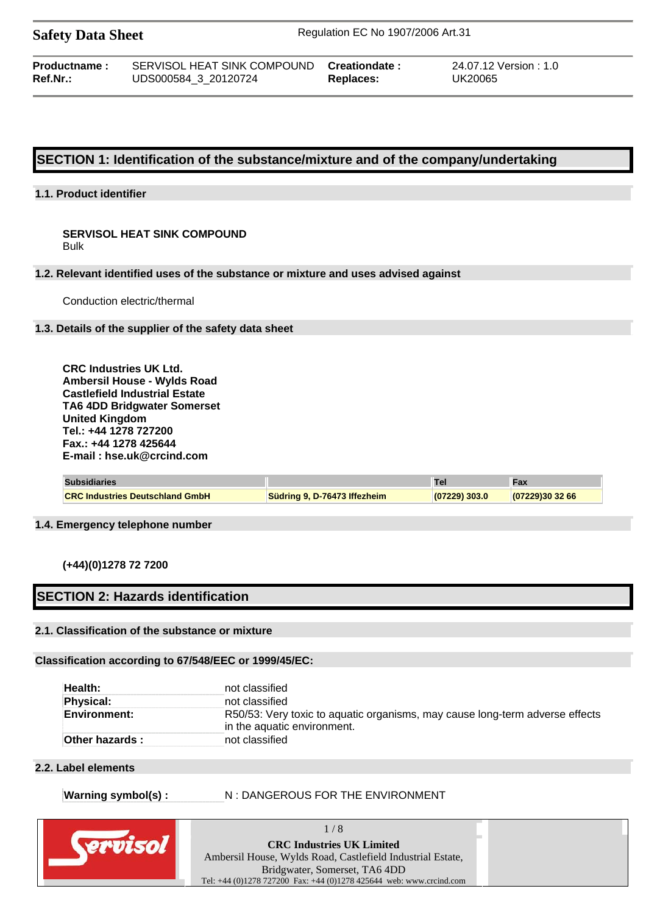| <b>Safety Data Sheet</b> |                             | Regulation EC No 1907/2006 Art.31 |                        |
|--------------------------|-----------------------------|-----------------------------------|------------------------|
| Productname:             | SERVISOL HEAT SINK COMPOUND | Creationdate:                     | 24.07.12 Version : 1.0 |
| Ref.Nr.:                 | UDS000584 3 20120724        | Replaces:                         | UK20065                |

## **SECTION 1: Identification of the substance/mixture and of the company/undertaking**

## **1.1. Product identifier**

#### **SERVISOL HEAT SINK COMPOUND** Bulk

#### **1.2. Relevant identified uses of the substance or mixture and uses advised against**

Conduction electric/thermal

#### **1.3. Details of the supplier of the safety data sheet**

**CRC Industries UK Ltd. Ambersil House - Wylds Road Castlefield Industrial Estate TA6 4DD Bridgwater Somerset United Kingdom Tel.: +44 1278 727200 Fax.: +44 1278 425644 E-mail : hse.uk@crcind.com**

| <b>Subsidiaries</b>                    |                              |               | Fax           |
|----------------------------------------|------------------------------|---------------|---------------|
| <b>CRC Industries Deutschland GmbH</b> | Südring 9, D-76473 Iffezheim | (07229) 303.0 | (07229)303266 |

#### **1.4. Emergency telephone number**

**(+44)(0)1278 72 7200** 

## **SECTION 2: Hazards identification**

#### **2.1. Classification of the substance or mixture**

#### **Classification according to 67/548/EEC or 1999/45/EC:**

| Health:             | not classified                                                                                              |
|---------------------|-------------------------------------------------------------------------------------------------------------|
| <b>Physical:</b>    | not classified                                                                                              |
| <b>Environment:</b> | R50/53: Very toxic to aguatic organisms, may cause long-term adverse effects<br>in the aquatic environment. |
| Other hazards :     | not classified                                                                                              |

#### **2.2. Label elements**

#### Warning symbol(s) : **N** : DANGEROUS FOR THE ENVIRONMENT

| <b>CRC Industries UK Limited</b>                                    |  |
|---------------------------------------------------------------------|--|
| Ambersil House, Wylds Road, Castlefield Industrial Estate,          |  |
| Bridgwater, Somerset, TA6 4DD                                       |  |
| Tel: +44 (0)1278 727200 Fax: +44 (0)1278 425644 web: www.crcind.com |  |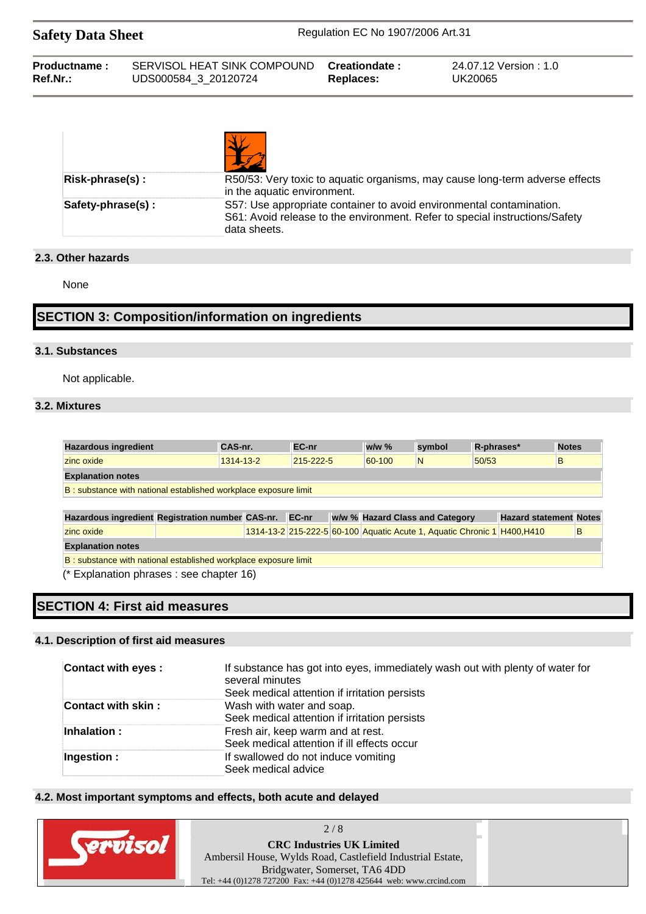| <b>Safety Data Sheet</b> |                             | Regulation EC No 1907/2006 Art.31 |                        |
|--------------------------|-----------------------------|-----------------------------------|------------------------|
| Productname:             | SERVISOL HEAT SINK COMPOUND | Creationdate:                     | 24.07.12 Version : 1.0 |
| $Ref.Nr.$ :              | UDS000584 3 20120724        | Replaces:                         | UK20065                |

| Risk-phrase(s):   | R50/53: Very toxic to aquatic organisms, may cause long-term adverse effects<br>in the aquatic environment.                                                         |
|-------------------|---------------------------------------------------------------------------------------------------------------------------------------------------------------------|
| Safety-phrase(s): | S57: Use appropriate container to avoid environmental contamination.<br>S61: Avoid release to the environment. Refer to special instructions/Safety<br>data sheets. |

## **2.3. Other hazards**

None

# **SECTION 3: Composition/information on ingredients**

## **3.1. Substances**

Not applicable.

## **3.2. Mixtures**

| <b>Hazardous ingredient</b>                                     | CAS-nr. |           | EC-nr     |  | $w/w$ % |   | symbol                          |       | R-phrases*                                                               | <b>Notes</b> |   |
|-----------------------------------------------------------------|---------|-----------|-----------|--|---------|---|---------------------------------|-------|--------------------------------------------------------------------------|--------------|---|
| zinc oxide                                                      |         | 1314-13-2 | 215-222-5 |  | 60-100  | N |                                 | 50/53 |                                                                          | B            |   |
| <b>Explanation notes</b>                                        |         |           |           |  |         |   |                                 |       |                                                                          |              |   |
| B: substance with national established workplace exposure limit |         |           |           |  |         |   |                                 |       |                                                                          |              |   |
|                                                                 |         |           |           |  |         |   |                                 |       |                                                                          |              |   |
| Hazardous ingredient Registration number CAS-nr.                |         |           | EC-nr     |  |         |   | w/w % Hazard Class and Category |       | <b>Hazard statement Notes</b>                                            |              |   |
| zinc oxide                                                      |         |           |           |  |         |   |                                 |       | 1314-13-2 215-222-5 60-100 Aquatic Acute 1, Aquatic Chronic 1 H400, H410 |              | B |
| <b>Explanation notes</b>                                        |         |           |           |  |         |   |                                 |       |                                                                          |              |   |
| B: substance with national established workplace exposure limit |         |           |           |  |         |   |                                 |       |                                                                          |              |   |
| (* Explanation phrases : see chapter 16)                        |         |           |           |  |         |   |                                 |       |                                                                          |              |   |
|                                                                 |         |           |           |  |         |   |                                 |       |                                                                          |              |   |

# **SECTION 4: First aid measures**

## **4.1. Description of first aid measures**

| <b>Contact with eyes:</b> | If substance has got into eyes, immediately wash out with plenty of water for<br>several minutes<br>Seek medical attention if irritation persists |
|---------------------------|---------------------------------------------------------------------------------------------------------------------------------------------------|
| <b>Contact with skin:</b> | Wash with water and soap.<br>Seek medical attention if irritation persists                                                                        |
| Inhalation:               | Fresh air, keep warm and at rest.<br>Seek medical attention if ill effects occur                                                                  |
| Ingestion:                | If swallowed do not induce vomiting<br>Seek medical advice                                                                                        |

## **4.2. Most important symptoms and effects, both acute and delayed**

| 2/8                                                                                                                                                                                                    |  |
|--------------------------------------------------------------------------------------------------------------------------------------------------------------------------------------------------------|--|
| <b>CRC Industries UK Limited</b><br>Ambersil House, Wylds Road, Castlefield Industrial Estate,<br>Bridgwater, Somerset, TA6 4DD<br>Tel: +44 (0)1278 727200 Fax: +44 (0)1278 425644 web: www.crcind.com |  |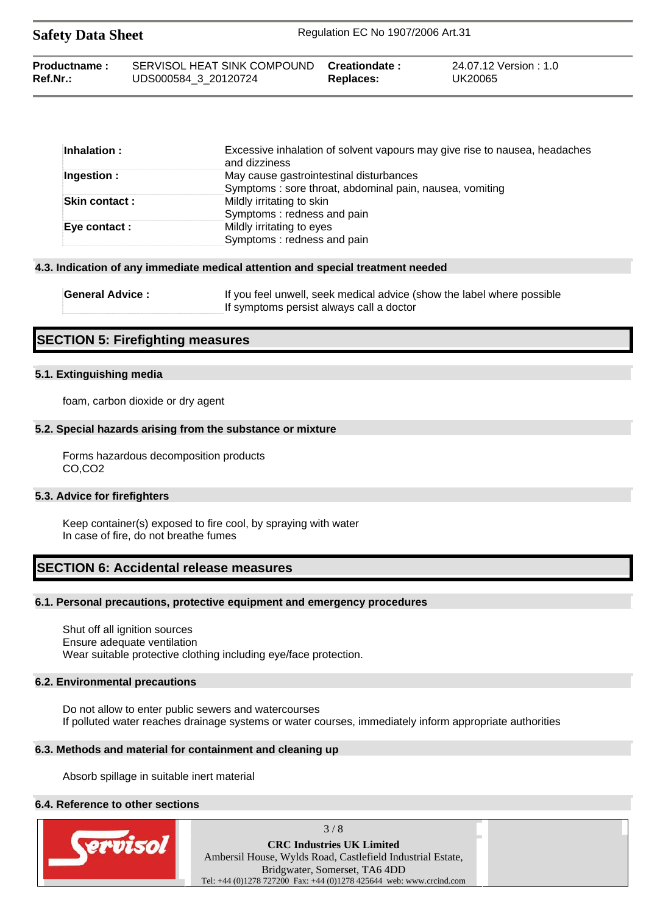| <b>Safety Data Sheet</b> |                             | Regulation EC No 1907/2006 Art.31 |                        |  |  |
|--------------------------|-----------------------------|-----------------------------------|------------------------|--|--|
| Productname:             | SERVISOL HEAT SINK COMPOUND | Creationdate :                    | 24.07.12 Version : 1.0 |  |  |
| Ref.Nr.:                 | UDS000584 3 20120724        | Replaces:                         | UK20065                |  |  |

| Inhalation:           | Excessive inhalation of solvent vapours may give rise to nausea, headaches<br>and dizziness |
|-----------------------|---------------------------------------------------------------------------------------------|
| Ingestion:            | May cause gastrointestinal disturbances                                                     |
|                       | Symptoms: sore throat, abdominal pain, nausea, vomiting                                     |
| <b>Skin contact :</b> | Mildly irritating to skin                                                                   |
|                       | Symptoms: redness and pain                                                                  |
| Eye contact :         | Mildly irritating to eyes                                                                   |
|                       | Symptoms: redness and pain                                                                  |

#### **4.3. Indication of any immediate medical attention and special treatment needed**

| <b>General Advice:</b> | If you feel unwell, seek medical advice (show the label where possible |
|------------------------|------------------------------------------------------------------------|
|                        | If symptoms persist always call a doctor                               |

## **SECTION 5: Firefighting measures**

#### **5.1. Extinguishing media**

foam, carbon dioxide or dry agent

#### **5.2. Special hazards arising from the substance or mixture**

Forms hazardous decomposition products CO,CO2

#### **5.3. Advice for firefighters**

Keep container(s) exposed to fire cool, by spraying with water In case of fire, do not breathe fumes

## **SECTION 6: Accidental release measures**

#### **6.1. Personal precautions, protective equipment and emergency procedures**

Shut off all ignition sources Ensure adequate ventilation Wear suitable protective clothing including eye/face protection.

#### **6.2. Environmental precautions**

Do not allow to enter public sewers and watercourses If polluted water reaches drainage systems or water courses, immediately inform appropriate authorities

#### **6.3. Methods and material for containment and cleaning up**

Absorb spillage in suitable inert material

#### **6.4. Reference to other sections**



 $3/8$ 

**CRC Industries UK Limited**  Ambersil House, Wylds Road, Castlefield Industrial Estate, Bridgwater, Somerset, TA6 4DD Tel: +44 (0)1278 727200 Fax: +44 (0)1278 425644 web: www.crcind.com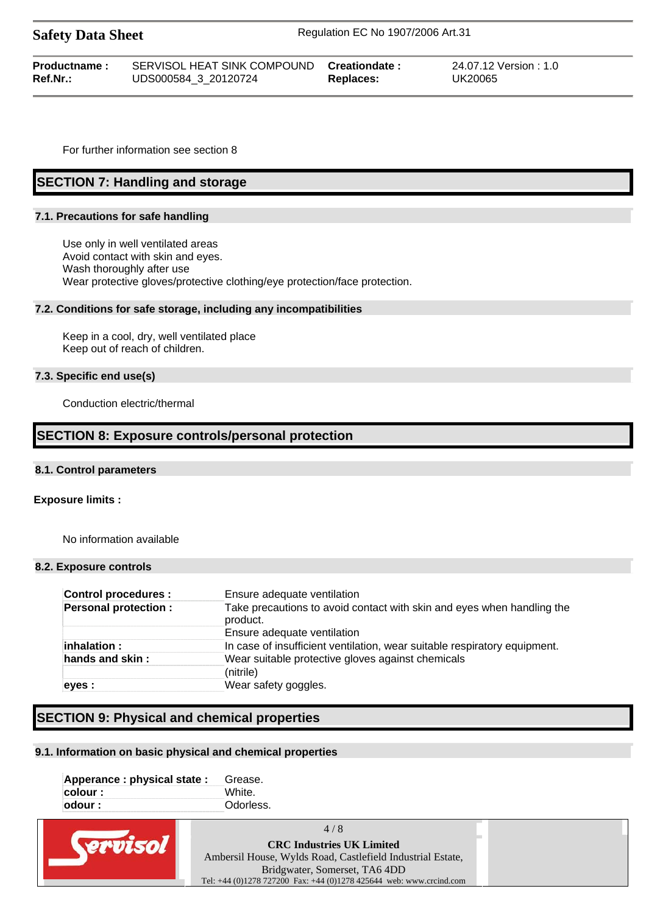| Daitly Data Blitte       |                                                                   |           |                                 |  |
|--------------------------|-------------------------------------------------------------------|-----------|---------------------------------|--|
| Productname:<br>Ref.Nr.: | SERVISOL HEAT SINK COMPOUND Creationdate:<br>UDS000584 3 20120724 | Replaces: | 24.07.12 Version:1.0<br>UK20065 |  |

For further information see section 8

## **SECTION 7: Handling and storage**

#### **7.1. Precautions for safe handling**

Use only in well ventilated areas Avoid contact with skin and eyes. Wash thoroughly after use Wear protective gloves/protective clothing/eye protection/face protection.

**Safety Data Sheet** Regulation EC No 1907/2006 Art.31

#### **7.2. Conditions for safe storage, including any incompatibilities**

Keep in a cool, dry, well ventilated place Keep out of reach of children.

#### **7.3. Specific end use(s)**

Conduction electric/thermal

## **SECTION 8: Exposure controls/personal protection**

#### **8.1. Control parameters**

#### **Exposure limits :**

No information available

#### **8.2. Exposure controls**

| <b>Control procedures:</b>  | Ensure adequate ventilation                                                        |
|-----------------------------|------------------------------------------------------------------------------------|
| <b>Personal protection:</b> | Take precautions to avoid contact with skin and eyes when handling the<br>product. |
|                             | Ensure adequate ventilation                                                        |
| inhalation :                | In case of insufficient ventilation, wear suitable respiratory equipment.          |
| hands and skin :            | Wear suitable protective gloves against chemicals<br>(nitrile)                     |
| eyes :                      | Wear safety goggles.                                                               |

## **SECTION 9: Physical and chemical properties**

#### **9.1. Information on basic physical and chemical properties**

| Apperance : physical state : | Grease.   |
|------------------------------|-----------|
| colour :                     | White     |
| odour :                      | Odorless. |

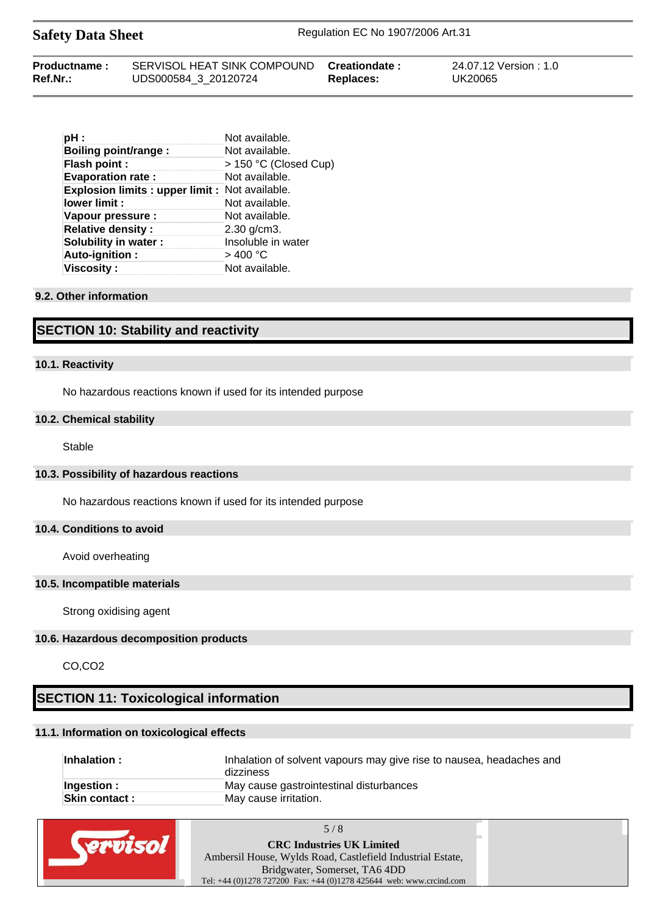Safety Data Sheet Regulation EC No 1907/2006 Art.31

| Productname: | SERVISOL HEAT SINK COMPOUND Creationdate: |           | 24.07.12 Version : 1.0 |
|--------------|-------------------------------------------|-----------|------------------------|
| Ref.Nr.:     | UDS000584 3 20120724                      | Replaces: | UK20065                |

| pH:                                                  | Not available.        |
|------------------------------------------------------|-----------------------|
| <b>Boiling point/range:</b>                          | Not available.        |
| Flash point :                                        | > 150 °C (Closed Cup) |
| <b>Evaporation rate:</b>                             | Not available.        |
| <b>Explosion limits: upper limit: Not available.</b> |                       |
| lower limit :                                        | Not available.        |
| Vapour pressure :                                    | Not available.        |
| <b>Relative density:</b>                             | $2.30$ g/cm $3.$      |
| <b>Solubility in water:</b>                          | Insoluble in water    |
| Auto-ignition:                                       | >400 °C               |
| <b>Viscosity:</b>                                    | Not available.        |

## **9.2. Other information**

# **SECTION 10: Stability and reactivity**

## **10.1. Reactivity**

No hazardous reactions known if used for its intended purpose

#### **10.2. Chemical stability**

Stable

## **10.3. Possibility of hazardous reactions**

No hazardous reactions known if used for its intended purpose

## **10.4. Conditions to avoid**

Avoid overheating

## **10.5. Incompatible materials**

Strong oxidising agent

## **10.6. Hazardous decomposition products**

CO,CO2

# **SECTION 11: Toxicological information**

## **11.1. Information on toxicological effects**

| Inhalation:          | Inhalation of solvent vapours may give rise to nausea, headaches and<br>dizziness |
|----------------------|-----------------------------------------------------------------------------------|
| Ingestion:           | May cause gastrointestinal disturbances                                           |
| <b>Skin contact:</b> | May cause irritation.                                                             |

| 5/8                                                                 |  |
|---------------------------------------------------------------------|--|
| <b>CRC Industries UK Limited</b>                                    |  |
| Ambersil House, Wylds Road, Castlefield Industrial Estate,          |  |
| Bridgwater, Somerset, TA6 4DD                                       |  |
| Tel: +44 (0)1278 727200 Fax: +44 (0)1278 425644 web: www.crcind.com |  |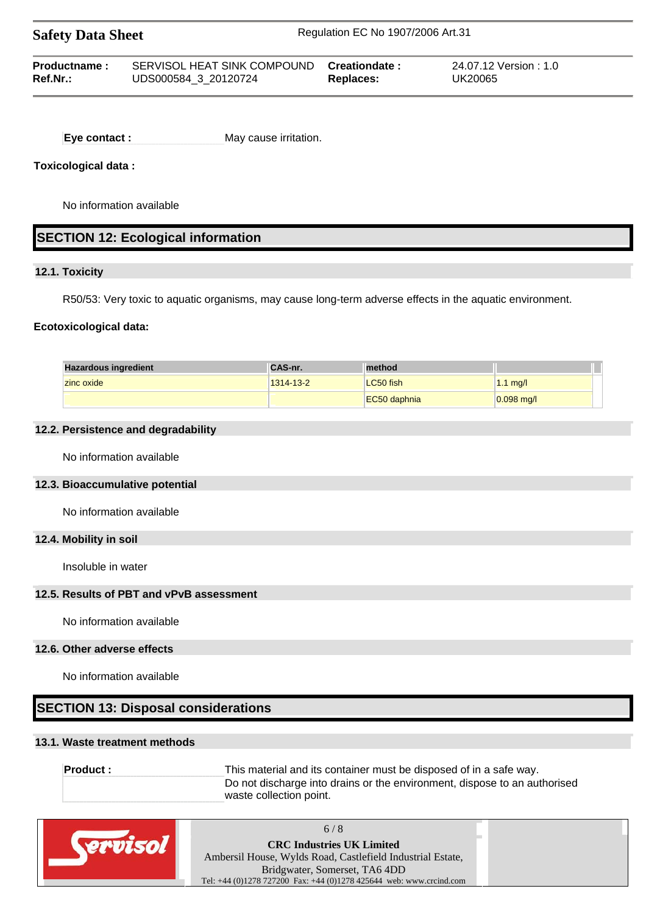| <b>Safety Data Sheet</b> |                             | Regulation EC No 1907/2006 Art.31 |                      |  |
|--------------------------|-----------------------------|-----------------------------------|----------------------|--|
| Productname:             | SERVISOL HEAT SINK COMPOUND | Creationdate :                    | 24.07.12 Version:1.0 |  |
| Ref.Nr.:                 | UDS000584 3 20120724        | <b>Replaces:</b>                  | UK20065              |  |

**Eye contact :** May cause irritation.

## **Toxicological data :**

No information available

# **SECTION 12: Ecological information**

## **12.1. Toxicity**

R50/53: Very toxic to aquatic organisms, may cause long-term adverse effects in the aquatic environment.

## **Ecotoxicological data:**

| <b>Hazardous ingredient</b> | <b>CAS-nr.</b> | method       |              |  |
|-----------------------------|----------------|--------------|--------------|--|
| zinc oxide                  | 1314-13-2      | LC50 fish    | $1.1$ mg/l   |  |
|                             |                | EC50 daphnia | $0.098$ mg/l |  |

#### **12.2. Persistence and degradability**

No information available

#### **12.3. Bioaccumulative potential**

No information available

#### **12.4. Mobility in soil**

Insoluble in water

## **12.5. Results of PBT and vPvB assessment**

No information available

#### **12.6. Other adverse effects**

No information available

# **SECTION 13: Disposal considerations**

## **13.1. Waste treatment methods**

**Product :** This material and its container must be disposed of in a safe way. Do not discharge into drains or the environment, dispose to an authorised waste collection point.

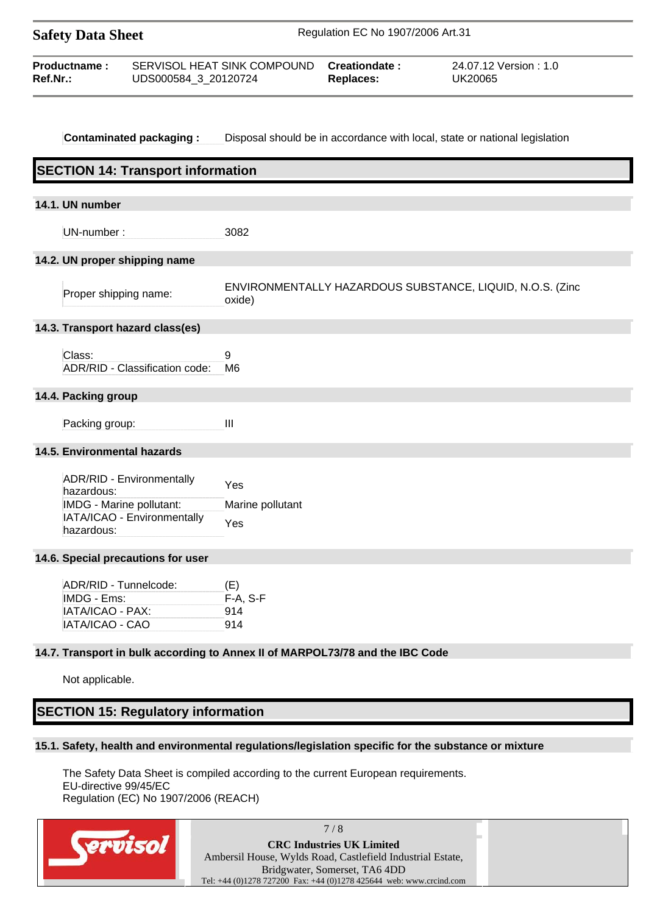| <b>Safety Data Sheet</b>                                                    |                                                                                      | Regulation EC No 1907/2006 Art.31 |                                                                               |                                                                            |
|-----------------------------------------------------------------------------|--------------------------------------------------------------------------------------|-----------------------------------|-------------------------------------------------------------------------------|----------------------------------------------------------------------------|
| Productname:<br>Ref.Nr.:                                                    | UDS000584_3_20120724                                                                 | SERVISOL HEAT SINK COMPOUND       | Creationdate:<br><b>Replaces:</b>                                             | 24.07.12 Version: 1.0<br><b>UK20065</b>                                    |
|                                                                             | <b>Contaminated packaging:</b>                                                       |                                   |                                                                               | Disposal should be in accordance with local, state or national legislation |
|                                                                             | <b>SECTION 14: Transport information</b>                                             |                                   |                                                                               |                                                                            |
| 14.1. UN number                                                             |                                                                                      |                                   |                                                                               |                                                                            |
| UN-number:                                                                  |                                                                                      | 3082                              |                                                                               |                                                                            |
| 14.2. UN proper shipping name                                               |                                                                                      |                                   |                                                                               |                                                                            |
| Proper shipping name:                                                       |                                                                                      | oxide)                            |                                                                               | ENVIRONMENTALLY HAZARDOUS SUBSTANCE, LIQUID, N.O.S. (Zinc                  |
|                                                                             | 14.3. Transport hazard class(es)                                                     |                                   |                                                                               |                                                                            |
| Class:                                                                      | ADR/RID - Classification code:                                                       | 9<br>M6                           |                                                                               |                                                                            |
| 14.4. Packing group                                                         |                                                                                      |                                   |                                                                               |                                                                            |
| Packing group:                                                              |                                                                                      | $\mathbf{III}$                    |                                                                               |                                                                            |
| 14.5. Environmental hazards                                                 |                                                                                      |                                   |                                                                               |                                                                            |
| hazardous:<br>hazardous:                                                    | ADR/RID - Environmentally<br>IMDG - Marine pollutant:<br>IATA/ICAO - Environmentally | Yes<br>Marine pollutant<br>Yes    |                                                                               |                                                                            |
|                                                                             | 14.6. Special precautions for user                                                   |                                   |                                                                               |                                                                            |
| ADR/RID - Tunnelcode:<br>IMDG - Ems:<br>IATA/ICAO - PAX:<br>IATA/ICAO - CAO |                                                                                      | (E)<br>F-A, S-F<br>914<br>914     |                                                                               |                                                                            |
|                                                                             |                                                                                      |                                   | 14.7. Transport in bulk according to Annex II of MARPOL73/78 and the IBC Code |                                                                            |
| Not applicable.                                                             |                                                                                      |                                   |                                                                               |                                                                            |
|                                                                             | <b>SECTION 15: Regulatory information</b>                                            |                                   |                                                                               |                                                                            |

The Safety Data Sheet is compiled according to the current European requirements. EU-directive 99/45/EC Regulation (EC) No 1907/2006 (REACH)